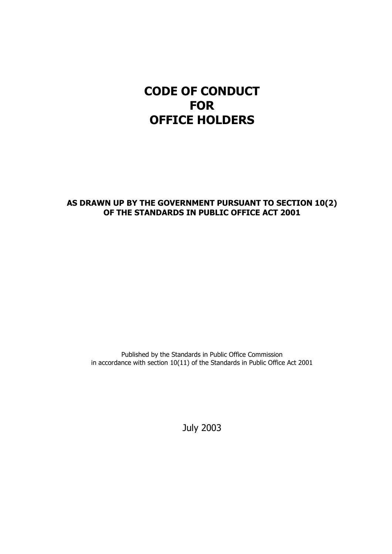## **CODE OF CONDUCT FOR OFFICE HOLDERS**

#### **AS DRAWN UP BY THE GOVERNMENT PURSUANT TO SECTION 10(2) OF THE STANDARDS IN PUBLIC OFFICE ACT 2001**

Published by the Standards in Public Office Commission in accordance with section 10(11) of the Standards in Public Office Act 2001

July 2003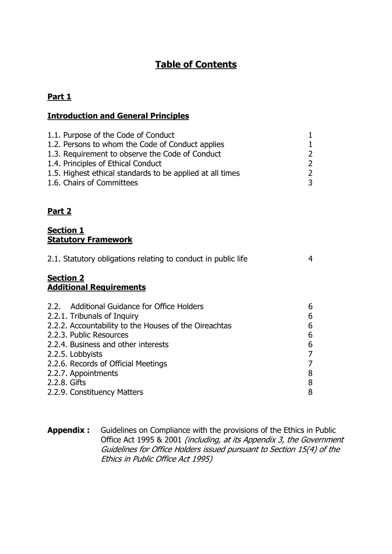## **Table of Contents**

## **Part 1**

## **Introduction and General Principles**

| 1.1. Purpose of the Code of Conduct                       |  |
|-----------------------------------------------------------|--|
| 1.2. Persons to whom the Code of Conduct applies          |  |
| 1.3. Requirement to observe the Code of Conduct           |  |
| 1.4. Principles of Ethical Conduct                        |  |
| 1.5. Highest ethical standards to be applied at all times |  |
| 1.6. Chairs of Committees                                 |  |

## **Part 2**

### **Section 1 Statutory Framework**

| 2.1. Statutory obligations relating to conduct in public life                                                                                                                                                                                                    |                       |
|------------------------------------------------------------------------------------------------------------------------------------------------------------------------------------------------------------------------------------------------------------------|-----------------------|
| <b>Section 2</b><br><b>Additional Requirements</b>                                                                                                                                                                                                               |                       |
| 2.2. Additional Guidance for Office Holders<br>2.2.1. Tribunals of Inquiry<br>2.2.2. Accountability to the Houses of the Oireachtas<br>2.2.3. Public Resources<br>2.2.4. Business and other interests<br>2.2.5. Lobbyists<br>2.2.6. Records of Official Meetings | 6<br>6<br>6<br>6<br>6 |
| 2.2.7. Appointments<br>2.2.8. Gifts<br>2.2.9. Constituency Matters                                                                                                                                                                                               | 8<br>8<br>8           |

**Appendix :** Guidelines on Compliance with the provisions of the Ethics in Public Office Act 1995 & 2001 (including, at its Appendix 3, the Government Guidelines for Office Holders issued pursuant to Section 15(4) of the Ethics in Public Office Act 1995)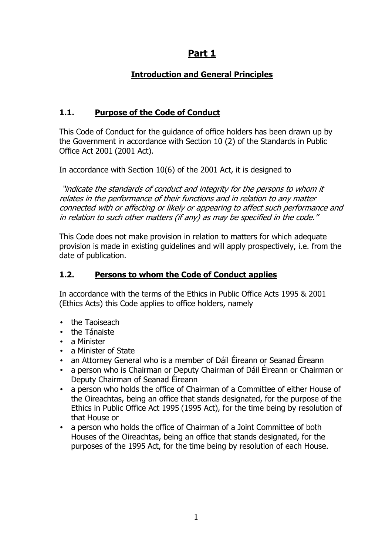## **Part 1**

## **Introduction and General Principles**

## **1.1. Purpose of the Code of Conduct**

This Code of Conduct for the guidance of office holders has been drawn up by the Government in accordance with Section 10 (2) of the Standards in Public Office Act 2001 (2001 Act).

In accordance with Section 10(6) of the 2001 Act, it is designed to

 "indicate the standards of conduct and integrity for the persons to whom it relates in the performance of their functions and in relation to any matter connected with or affecting or likely or appearing to affect such performance and in relation to such other matters (if any) as may be specified in the code."

This Code does not make provision in relation to matters for which adequate provision is made in existing guidelines and will apply prospectively, i.e. from the date of publication.

## **1.2. Persons to whom the Code of Conduct applies**

In accordance with the terms of the Ethics in Public Office Acts 1995 & 2001 (Ethics Acts) this Code applies to office holders, namely

- the Taoiseach
- the Tánaiste
- a Minister
- a Minister of State
- an Attorney General who is a member of Dáil Éireann or Seanad Éireann
- a person who is Chairman or Deputy Chairman of Dáil Éireann or Chairman or Deputy Chairman of Seanad Éireann
- a person who holds the office of Chairman of a Committee of either House of the Oireachtas, being an office that stands designated, for the purpose of the Ethics in Public Office Act 1995 (1995 Act), for the time being by resolution of that House or
- a person who holds the office of Chairman of a Joint Committee of both Houses of the Oireachtas, being an office that stands designated, for the purposes of the 1995 Act, for the time being by resolution of each House.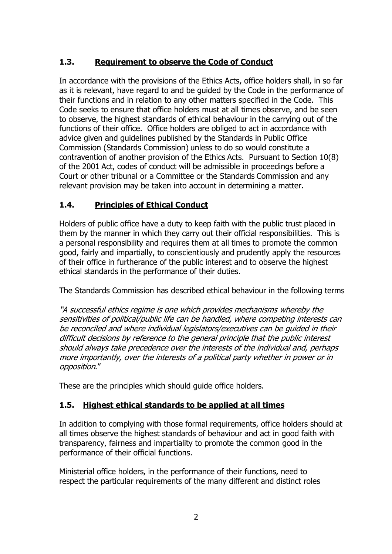## **1.3. Requirement to observe the Code of Conduct**

In accordance with the provisions of the Ethics Acts, office holders shall, in so far as it is relevant, have regard to and be guided by the Code in the performance of their functions and in relation to any other matters specified in the Code. This Code seeks to ensure that office holders must at all times observe, and be seen to observe, the highest standards of ethical behaviour in the carrying out of the functions of their office. Office holders are obliged to act in accordance with advice given and guidelines published by the Standards in Public Office Commission (Standards Commission) unless to do so would constitute a contravention of another provision of the Ethics Acts. Pursuant to Section 10(8) of the 2001 Act, codes of conduct will be admissible in proceedings before a Court or other tribunal or a Committee or the Standards Commission and any relevant provision may be taken into account in determining a matter.

## **1.4. Principles of Ethical Conduct**

Holders of public office have a duty to keep faith with the public trust placed in them by the manner in which they carry out their official responsibilities. This is a personal responsibility and requires them at all times to promote the common good, fairly and impartially, to conscientiously and prudently apply the resources of their office in furtherance of the public interest and to observe the highest ethical standards in the performance of their duties.

The Standards Commission has described ethical behaviour in the following terms

"A successful ethics regime is one which provides mechanisms whereby the sensitivities of political/public life can be handled, where competing interests can be reconciled and where individual legislators/executives can be guided in their difficult decisions by reference to the general principle that the public interest should always take precedence over the interests of the individual and, perhaps more importantly, over the interests of a political party whether in power or in opposition."

These are the principles which should guide office holders.

## **1.5. Highest ethical standards to be applied at all times**

In addition to complying with those formal requirements, office holders should at all times observe the highest standards of behaviour and act in good faith with transparency, fairness and impartiality to promote the common good in the performance of their official functions.

Ministerial office holders**,** in the performance of their functions**,** need to respect the particular requirements of the many different and distinct roles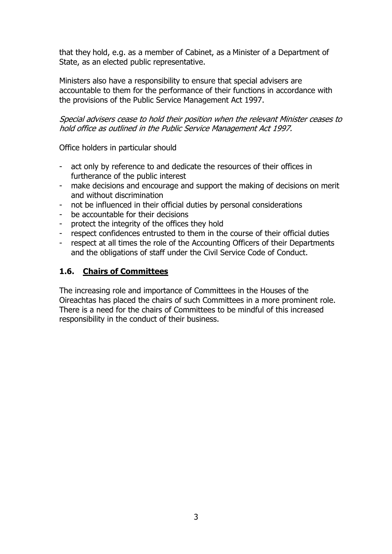that they hold, e.g. as a member of Cabinet, as a Minister of a Department of State, as an elected public representative.

Ministers also have a responsibility to ensure that special advisers are accountable to them for the performance of their functions in accordance with the provisions of the Public Service Management Act 1997.

Special advisers cease to hold their position when the relevant Minister ceases to hold office as outlined in the Public Service Management Act 1997.

Office holders in particular should

- act only by reference to and dedicate the resources of their offices in furtherance of the public interest
- make decisions and encourage and support the making of decisions on merit and without discrimination
- not be influenced in their official duties by personal considerations
- be accountable for their decisions
- protect the integrity of the offices they hold
- respect confidences entrusted to them in the course of their official duties
- respect at all times the role of the Accounting Officers of their Departments and the obligations of staff under the Civil Service Code of Conduct.

#### **1.6. Chairs of Committees**

The increasing role and importance of Committees in the Houses of the Oireachtas has placed the chairs of such Committees in a more prominent role. There is a need for the chairs of Committees to be mindful of this increased responsibility in the conduct of their business.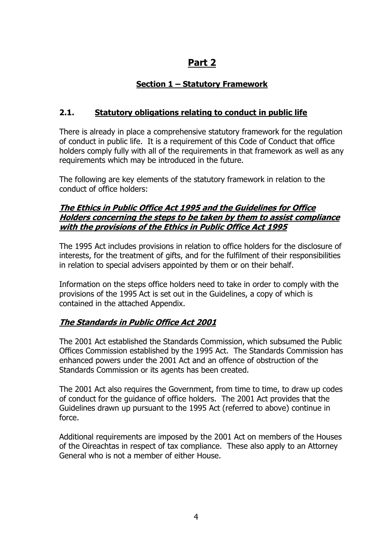## **Part 2**

## **Section 1 – Statutory Framework**

## **2.1. Statutory obligations relating to conduct in public life**

There is already in place a comprehensive statutory framework for the regulation of conduct in public life. It is a requirement of this Code of Conduct that office holders comply fully with all of the requirements in that framework as well as any requirements which may be introduced in the future.

The following are key elements of the statutory framework in relation to the conduct of office holders:

#### **The Ethics in Public Office Act 1995 and the Guidelines for Office Holders concerning the steps to be taken by them to assist compliance with the provisions of the Ethics in Public Office Act 1995**

The 1995 Act includes provisions in relation to office holders for the disclosure of interests, for the treatment of gifts, and for the fulfilment of their responsibilities in relation to special advisers appointed by them or on their behalf.

Information on the steps office holders need to take in order to comply with the provisions of the 1995 Act is set out in the Guidelines, a copy of which is contained in the attached Appendix.

## **The Standards in Public Office Act 2001**

The 2001 Act established the Standards Commission, which subsumed the Public Offices Commission established by the 1995 Act. The Standards Commission has enhanced powers under the 2001 Act and an offence of obstruction of the Standards Commission or its agents has been created.

The 2001 Act also requires the Government, from time to time, to draw up codes of conduct for the guidance of office holders. The 2001 Act provides that the Guidelines drawn up pursuant to the 1995 Act (referred to above) continue in force.

Additional requirements are imposed by the 2001 Act on members of the Houses of the Oireachtas in respect of tax compliance. These also apply to an Attorney General who is not a member of either House.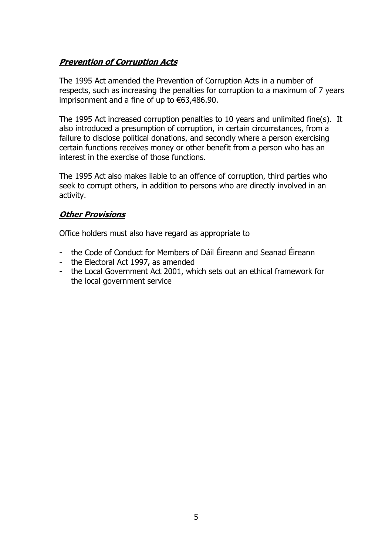## **Prevention of Corruption Acts**

The 1995 Act amended the Prevention of Corruption Acts in a number of respects, such as increasing the penalties for corruption to a maximum of 7 years imprisonment and a fine of up to €63,486.90.

The 1995 Act increased corruption penalties to 10 years and unlimited fine(s). It also introduced a presumption of corruption, in certain circumstances, from a failure to disclose political donations, and secondly where a person exercising certain functions receives money or other benefit from a person who has an interest in the exercise of those functions.

The 1995 Act also makes liable to an offence of corruption, third parties who seek to corrupt others, in addition to persons who are directly involved in an activity.

### **Other Provisions**

Office holders must also have regard as appropriate to

- the Code of Conduct for Members of Dáil Éireann and Seanad Éireann
- the Electoral Act 1997**,** as amended
- the Local Government Act 2001, which sets out an ethical framework for the local government service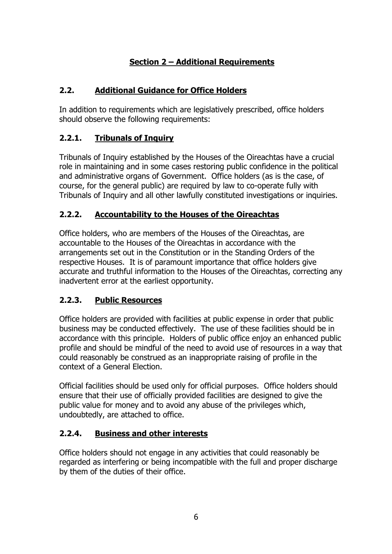## **Section 2 – Additional Requirements**

## **2.2. Additional Guidance for Office Holders**

In addition to requirements which are legislatively prescribed, office holders should observe the following requirements:

## **2.2.1. Tribunals of Inquiry**

Tribunals of Inquiry established by the Houses of the Oireachtas have a crucial role in maintaining and in some cases restoring public confidence in the political and administrative organs of Government. Office holders (as is the case, of course, for the general public) are required by law to co-operate fully with Tribunals of Inquiry and all other lawfully constituted investigations or inquiries.

## **2.2.2. Accountability to the Houses of the Oireachtas**

Office holders, who are members of the Houses of the Oireachtas, are accountable to the Houses of the Oireachtas in accordance with the arrangements set out in the Constitution or in the Standing Orders of the respective Houses. It is of paramount importance that office holders give accurate and truthful information to the Houses of the Oireachtas, correcting any inadvertent error at the earliest opportunity.

## **2.2.3. Public Resources**

Office holders are provided with facilities at public expense in order that public business may be conducted effectively. The use of these facilities should be in accordance with this principle. Holders of public office enjoy an enhanced public profile and should be mindful of the need to avoid use of resources in a way that could reasonably be construed as an inappropriate raising of profile in the context of a General Election.

Official facilities should be used only for official purposes. Office holders should ensure that their use of officially provided facilities are designed to give the public value for money and to avoid any abuse of the privileges which, undoubtedly, are attached to office.

## **2.2.4. Business and other interests**

Office holders should not engage in any activities that could reasonably be regarded as interfering or being incompatible with the full and proper discharge by them of the duties of their office.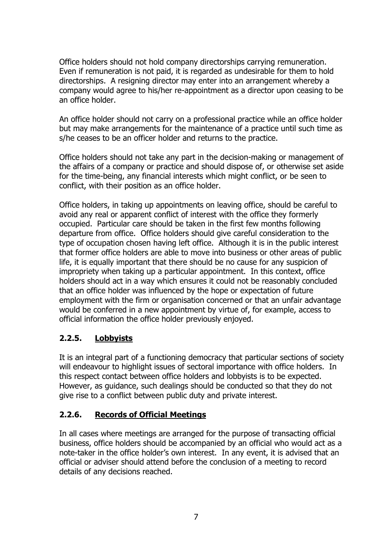Office holders should not hold company directorships carrying remuneration. Even if remuneration is not paid, it is regarded as undesirable for them to hold directorships. A resigning director may enter into an arrangement whereby a company would agree to his/her re-appointment as a director upon ceasing to be an office holder.

An office holder should not carry on a professional practice while an office holder but may make arrangements for the maintenance of a practice until such time as s/he ceases to be an officer holder and returns to the practice.

Office holders should not take any part in the decision-making or management of the affairs of a company or practice and should dispose of, or otherwise set aside for the time-being, any financial interests which might conflict, or be seen to conflict, with their position as an office holder.

Office holders, in taking up appointments on leaving office, should be careful to avoid any real or apparent conflict of interest with the office they formerly occupied. Particular care should be taken in the first few months following departure from office. Office holders should give careful consideration to the type of occupation chosen having left office. Although it is in the public interest that former office holders are able to move into business or other areas of public life, it is equally important that there should be no cause for any suspicion of impropriety when taking up a particular appointment. In this context, office holders should act in a way which ensures it could not be reasonably concluded that an office holder was influenced by the hope or expectation of future employment with the firm or organisation concerned or that an unfair advantage would be conferred in a new appointment by virtue of, for example, access to official information the office holder previously enjoyed.

## **2.2.5. Lobbyists**

It is an integral part of a functioning democracy that particular sections of society will endeavour to highlight issues of sectoral importance with office holders. In this respect contact between office holders and lobbyists is to be expected. However, as guidance, such dealings should be conducted so that they do not give rise to a conflict between public duty and private interest.

## **2.2.6. Records of Official Meetings**

In all cases where meetings are arranged for the purpose of transacting official business, office holders should be accompanied by an official who would act as a note-taker in the office holder's own interest. In any event, it is advised that an official or adviser should attend before the conclusion of a meeting to record details of any decisions reached.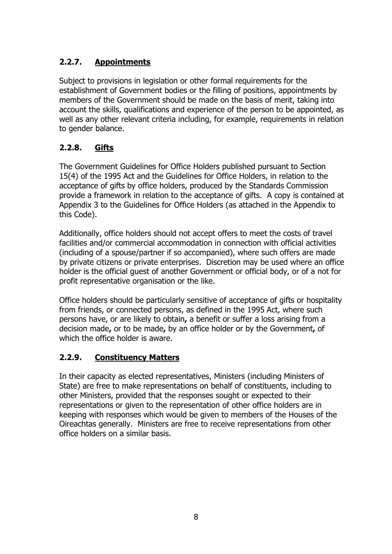## **2.2.7. Appointments**

Subject to provisions in legislation or other formal requirements for the establishment of Government bodies or the filling of positions, appointments by members of the Government should be made on the basis of merit, taking into account the skills, qualifications and experience of the person to be appointed, as well as any other relevant criteria including, for example, requirements in relation to gender balance.

## **2.2.8. Gifts**

The Government Guidelines for Office Holders published pursuant to Section 15(4) of the 1995 Act and the Guidelines for Office Holders, in relation to the acceptance of gifts by office holders, produced by the Standards Commission provide a framework in relation to the acceptance of gifts. A copy is contained at Appendix 3 to the Guidelines for Office Holders (as attached in the Appendix to this Code).

Additionally, office holders should not accept offers to meet the costs of travel facilities and/or commercial accommodation in connection with official activities (including of a spouse/partner if so accompanied), where such offers are made by private citizens or private enterprises. Discretion may be used where an office holder is the official guest of another Government or official body, or of a not for profit representative organisation or the like.

Office holders should be particularly sensitive of acceptance of gifts or hospitality from friends, or connected persons, as defined in the 1995 Act, where such persons have, or are likely to obtain**,** a benefit or suffer a loss arising from a decision made**,** or to be made**,** by an office holder or by the Government**,** of which the office holder is aware.

## **2.2.9. Constituency Matters**

In their capacity as elected representatives, Ministers (including Ministers of State) are free to make representations on behalf of constituents, including to other Ministers, provided that the responses sought or expected to their representations or given to the representation of other office holders are in keeping with responses which would be given to members of the Houses of the Oireachtas generally. Ministers are free to receive representations from other office holders on a similar basis.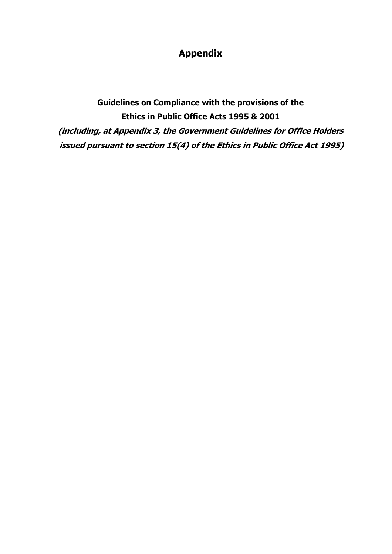## **Appendix**

**Guidelines on Compliance with the provisions of the Ethics in Public Office Acts 1995 & 2001 (including, at Appendix 3, the Government Guidelines for Office Holders issued pursuant to section 15(4) of the Ethics in Public Office Act 1995)**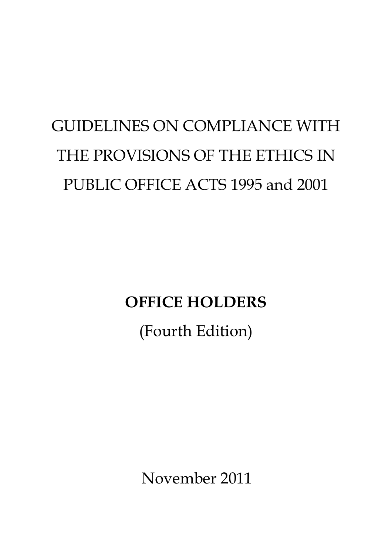# GUIDELINES ON COMPLIANCE WITH THE PROVISIONS OF THE ETHICS IN PUBLIC OFFICE ACTS 1995 and 2001

# **OFFICE HOLDERS**

(Fourth Edition)

November 2011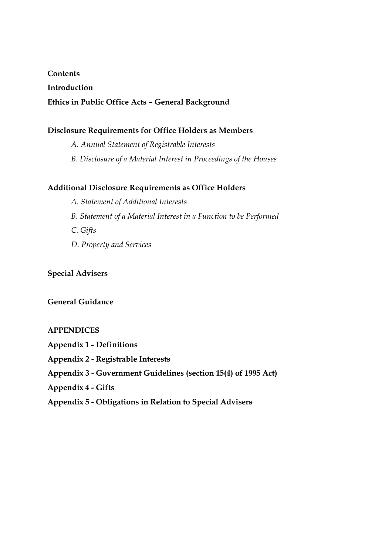**Contents Introduction Ethics in Public Office Acts – General Background** 

#### **Disclosure Requirements for Office Holders as Members**

- *A. Annual Statement of Registrable Interests*
- *B. Disclosure of a Material Interest in Proceedings of the Houses*

#### **Additional Disclosure Requirements as Office Holders**

- *A. Statement of Additional Interests*
- *B. Statement of a Material Interest in a Function to be Performed*

*C. Gifts* 

*D. Property and Services*

#### **Special Advisers**

#### **General Guidance**

#### **APPENDICES**

**Appendix 1 - Definitions Appendix 2 - Registrable Interests Appendix 3 - Government Guidelines (section 15(4) of 1995 Act) Appendix 4 - Gifts Appendix 5 - Obligations in Relation to Special Advisers**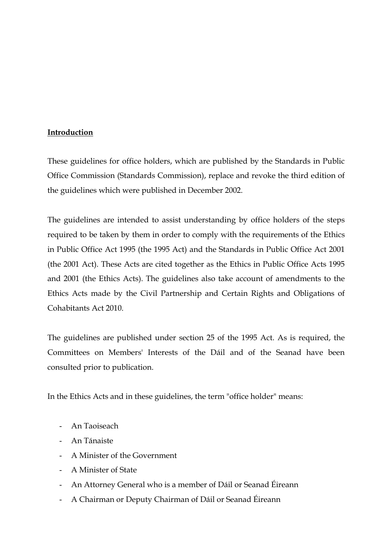#### **Introduction**

These guidelines for office holders, which are published by the Standards in Public Office Commission (Standards Commission), replace and revoke the third edition of the guidelines which were published in December 2002.

The guidelines are intended to assist understanding by office holders of the steps required to be taken by them in order to comply with the requirements of the Ethics in Public Office Act 1995 (the 1995 Act) and the Standards in Public Office Act 2001 (the 2001 Act). These Acts are cited together as the Ethics in Public Office Acts 1995 and 2001 (the Ethics Acts). The guidelines also take account of amendments to the Ethics Acts made by the Civil Partnership and Certain Rights and Obligations of Cohabitants Act 2010.

The guidelines are published under section 25 of the 1995 Act. As is required, the Committees on Members' Interests of the Dáil and of the Seanad have been consulted prior to publication.

In the Ethics Acts and in these guidelines, the term "office holder" means:

- An Taoiseach
- An Tánaiste
- A Minister of the Government
- A Minister of State
- An Attorney General who is a member of Dáil or Seanad Éireann
- A Chairman or Deputy Chairman of Dáil or Seanad Éireann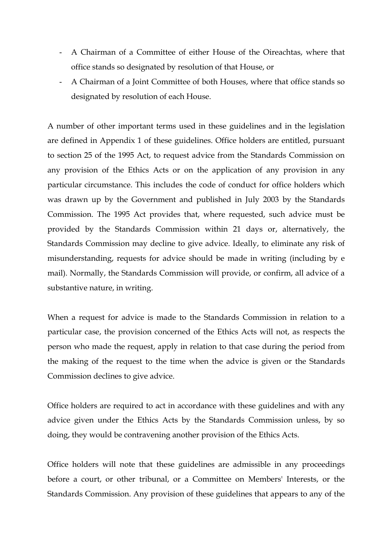- A Chairman of a Committee of either House of the Oireachtas, where that office stands so designated by resolution of that House, or
- A Chairman of a Joint Committee of both Houses, where that office stands so designated by resolution of each House.

A number of other important terms used in these guidelines and in the legislation are defined in Appendix 1 of these guidelines. Office holders are entitled, pursuant to section 25 of the 1995 Act, to request advice from the Standards Commission on any provision of the Ethics Acts or on the application of any provision in any particular circumstance. This includes the code of conduct for office holders which was drawn up by the Government and published in July 2003 by the Standards Commission. The 1995 Act provides that, where requested, such advice must be provided by the Standards Commission within 21 days or, alternatively, the Standards Commission may decline to give advice. Ideally, to eliminate any risk of misunderstanding, requests for advice should be made in writing (including by e mail). Normally, the Standards Commission will provide, or confirm, all advice of a substantive nature, in writing.

When a request for advice is made to the Standards Commission in relation to a particular case, the provision concerned of the Ethics Acts will not, as respects the person who made the request, apply in relation to that case during the period from the making of the request to the time when the advice is given or the Standards Commission declines to give advice.

Office holders are required to act in accordance with these guidelines and with any advice given under the Ethics Acts by the Standards Commission unless, by so doing, they would be contravening another provision of the Ethics Acts.

Office holders will note that these guidelines are admissible in any proceedings before a court, or other tribunal, or a Committee on Members' Interests, or the Standards Commission. Any provision of these guidelines that appears to any of the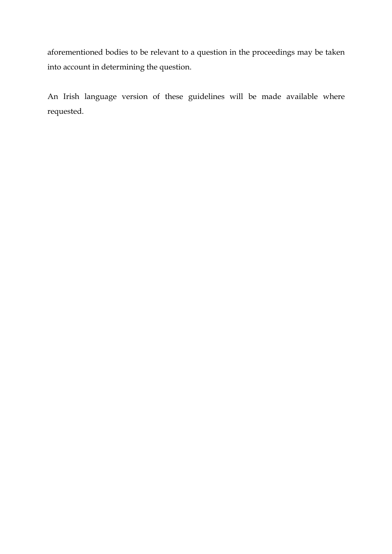aforementioned bodies to be relevant to a question in the proceedings may be taken into account in determining the question.

An Irish language version of these guidelines will be made available where requested.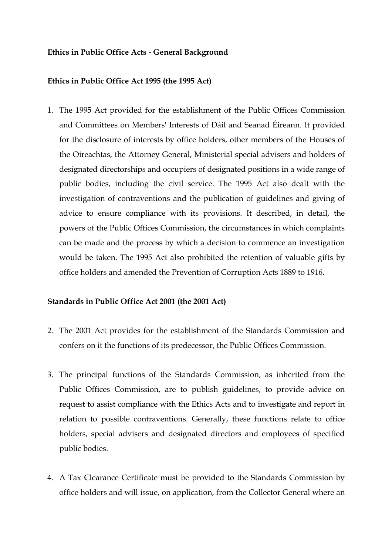#### **Ethics in Public Office Acts - General Background**

#### **Ethics in Public Office Act 1995 (the 1995 Act)**

1. The 1995 Act provided for the establishment of the Public Offices Commission and Committees on Members' Interests of Dáil and Seanad Éireann. It provided for the disclosure of interests by office holders, other members of the Houses of the Oireachtas, the Attorney General, Ministerial special advisers and holders of designated directorships and occupiers of designated positions in a wide range of public bodies, including the civil service. The 1995 Act also dealt with the investigation of contraventions and the publication of guidelines and giving of advice to ensure compliance with its provisions. It described, in detail, the powers of the Public Offices Commission, the circumstances in which complaints can be made and the process by which a decision to commence an investigation would be taken. The 1995 Act also prohibited the retention of valuable gifts by office holders and amended the Prevention of Corruption Acts 1889 to 1916.

#### **Standards in Public Office Act 2001 (the 2001 Act)**

- 2. The 2001 Act provides for the establishment of the Standards Commission and confers on it the functions of its predecessor, the Public Offices Commission.
- 3. The principal functions of the Standards Commission, as inherited from the Public Offices Commission, are to publish guidelines, to provide advice on request to assist compliance with the Ethics Acts and to investigate and report in relation to possible contraventions. Generally, these functions relate to office holders, special advisers and designated directors and employees of specified public bodies.
- 4. A Tax Clearance Certificate must be provided to the Standards Commission by office holders and will issue, on application, from the Collector General where an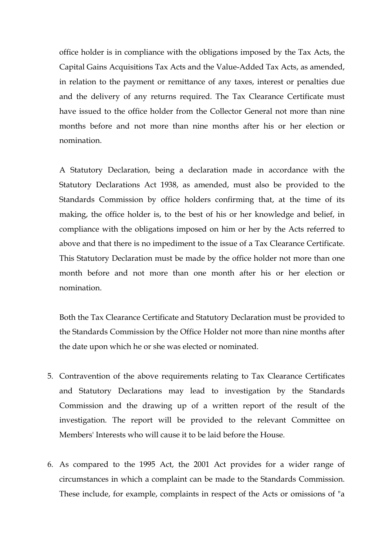office holder is in compliance with the obligations imposed by the Tax Acts, the Capital Gains Acquisitions Tax Acts and the Value-Added Tax Acts, as amended, in relation to the payment or remittance of any taxes, interest or penalties due and the delivery of any returns required. The Tax Clearance Certificate must have issued to the office holder from the Collector General not more than nine months before and not more than nine months after his or her election or nomination.

A Statutory Declaration, being a declaration made in accordance with the Statutory Declarations Act 1938, as amended, must also be provided to the Standards Commission by office holders confirming that, at the time of its making, the office holder is, to the best of his or her knowledge and belief, in compliance with the obligations imposed on him or her by the Acts referred to above and that there is no impediment to the issue of a Tax Clearance Certificate. This Statutory Declaration must be made by the office holder not more than one month before and not more than one month after his or her election or nomination.

Both the Tax Clearance Certificate and Statutory Declaration must be provided to the Standards Commission by the Office Holder not more than nine months after the date upon which he or she was elected or nominated.

- 5. Contravention of the above requirements relating to Tax Clearance Certificates and Statutory Declarations may lead to investigation by the Standards Commission and the drawing up of a written report of the result of the investigation. The report will be provided to the relevant Committee on Members' Interests who will cause it to be laid before the House.
- 6. As compared to the 1995 Act, the 2001 Act provides for a wider range of circumstances in which a complaint can be made to the Standards Commission. These include, for example, complaints in respect of the Acts or omissions of "a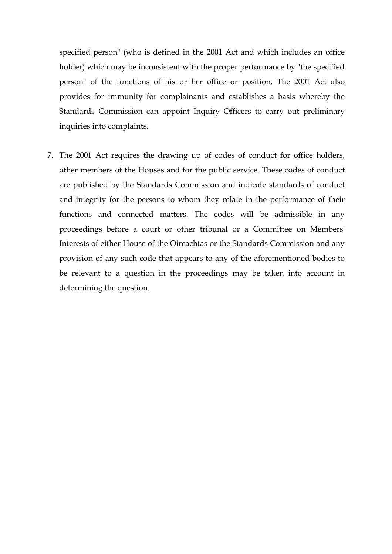specified person" (who is defined in the 2001 Act and which includes an office holder) which may be inconsistent with the proper performance by "the specified person" of the functions of his or her office or position. The 2001 Act also provides for immunity for complainants and establishes a basis whereby the Standards Commission can appoint Inquiry Officers to carry out preliminary inquiries into complaints.

7. The 2001 Act requires the drawing up of codes of conduct for office holders, other members of the Houses and for the public service. These codes of conduct are published by the Standards Commission and indicate standards of conduct and integrity for the persons to whom they relate in the performance of their functions and connected matters. The codes will be admissible in any proceedings before a court or other tribunal or a Committee on Members' Interests of either House of the Oireachtas or the Standards Commission and any provision of any such code that appears to any of the aforementioned bodies to be relevant to a question in the proceedings may be taken into account in determining the question.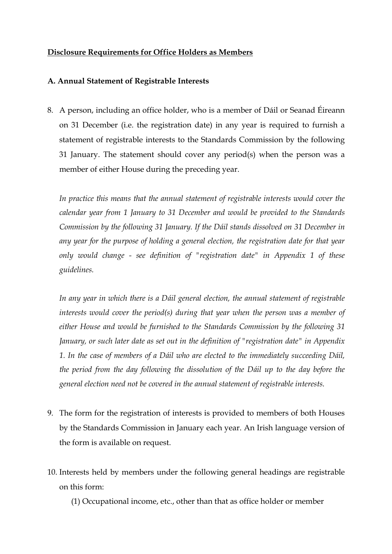#### **Disclosure Requirements for Office Holders as Members**

#### **A. Annual Statement of Registrable Interests**

8. A person, including an office holder, who is a member of Dáil or Seanad Éireann on 31 December (i.e. the registration date) in any year is required to furnish a statement of registrable interests to the Standards Commission by the following 31 January. The statement should cover any period(s) when the person was a member of either House during the preceding year.

*In practice this means that the annual statement of registrable interests would cover the calendar year from 1 January to 31 December and would be provided to the Standards Commission by the following 31 January. If the Dáil stands dissolved on 31 December in any year for the purpose of holding a general election, the registration date for that year only would change - see definition of "registration date" in Appendix 1 of these guidelines.* 

*In any year in which there is a Dáil general election, the annual statement of registrable interests would cover the period(s) during that year when the person was a member of either House and would be furnished to the Standards Commission by the following 31 January, or such later date as set out in the definition of "registration date" in Appendix 1. In the case of members of a Dáil who are elected to the immediately succeeding Dáil, the period from the day following the dissolution of the Dáil up to the day before the general election need not be covered in the annual statement of registrable interests.* 

- 9. The form for the registration of interests is provided to members of both Houses by the Standards Commission in January each year. An Irish language version of the form is available on request.
- 10. Interests held by members under the following general headings are registrable on this form:

(1) Occupational income, etc., other than that as office holder or member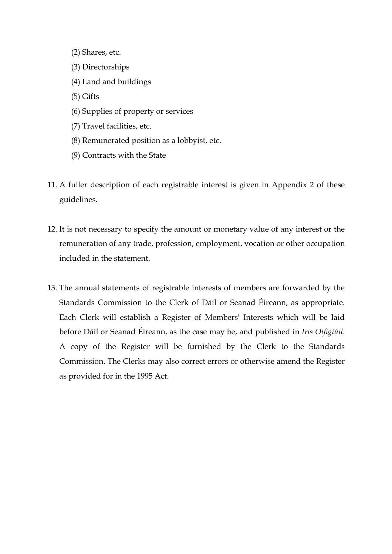- (2) Shares, etc.
- (3) Directorships
- (4) Land and buildings
- (5) Gifts
- (6) Supplies of property or services
- (7) Travel facilities, etc.
- (8) Remunerated position as a lobbyist, etc.
- (9) Contracts with the State
- 11. A fuller description of each registrable interest is given in Appendix 2 of these guidelines.
- 12. It is not necessary to specify the amount or monetary value of any interest or the remuneration of any trade, profession, employment, vocation or other occupation included in the statement.
- 13. The annual statements of registrable interests of members are forwarded by the Standards Commission to the Clerk of Dáil or Seanad Éireann, as appropriate. Each Clerk will establish a Register of Members' Interests which will be laid before Dáil or Seanad Éireann, as the case may be, and published in *Iris Oifigiúil*. A copy of the Register will be furnished by the Clerk to the Standards Commission. The Clerks may also correct errors or otherwise amend the Register as provided for in the 1995 Act.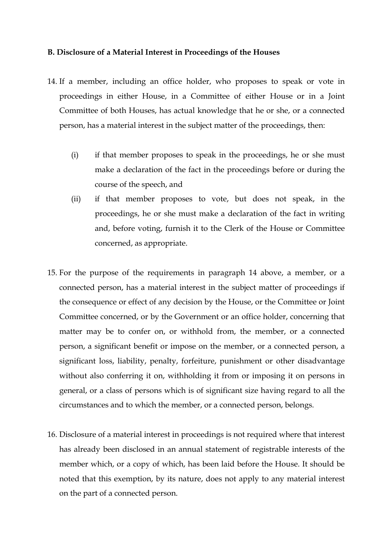#### **B. Disclosure of a Material Interest in Proceedings of the Houses**

- 14. If a member, including an office holder, who proposes to speak or vote in proceedings in either House, in a Committee of either House or in a Joint Committee of both Houses, has actual knowledge that he or she, or a connected person, has a material interest in the subject matter of the proceedings, then:
	- (i) if that member proposes to speak in the proceedings, he or she must make a declaration of the fact in the proceedings before or during the course of the speech, and
	- (ii) if that member proposes to vote, but does not speak, in the proceedings, he or she must make a declaration of the fact in writing and, before voting, furnish it to the Clerk of the House or Committee concerned, as appropriate.
- 15. For the purpose of the requirements in paragraph 14 above, a member, or a connected person, has a material interest in the subject matter of proceedings if the consequence or effect of any decision by the House, or the Committee or Joint Committee concerned, or by the Government or an office holder, concerning that matter may be to confer on, or withhold from, the member, or a connected person, a significant benefit or impose on the member, or a connected person, a significant loss, liability, penalty, forfeiture, punishment or other disadvantage without also conferring it on, withholding it from or imposing it on persons in general, or a class of persons which is of significant size having regard to all the circumstances and to which the member, or a connected person, belongs.
- 16. Disclosure of a material interest in proceedings is not required where that interest has already been disclosed in an annual statement of registrable interests of the member which, or a copy of which, has been laid before the House. It should be noted that this exemption, by its nature, does not apply to any material interest on the part of a connected person.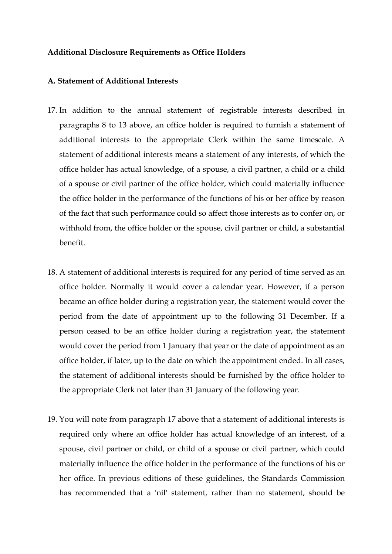#### **Additional Disclosure Requirements as Office Holders**

#### **A. Statement of Additional Interests**

- 17. In addition to the annual statement of registrable interests described in paragraphs 8 to 13 above, an office holder is required to furnish a statement of additional interests to the appropriate Clerk within the same timescale. A statement of additional interests means a statement of any interests, of which the office holder has actual knowledge, of a spouse, a civil partner, a child or a child of a spouse or civil partner of the office holder, which could materially influence the office holder in the performance of the functions of his or her office by reason of the fact that such performance could so affect those interests as to confer on, or withhold from, the office holder or the spouse, civil partner or child, a substantial benefit.
- 18. A statement of additional interests is required for any period of time served as an office holder. Normally it would cover a calendar year. However, if a person became an office holder during a registration year, the statement would cover the period from the date of appointment up to the following 31 December. If a person ceased to be an office holder during a registration year, the statement would cover the period from 1 January that year or the date of appointment as an office holder, if later, up to the date on which the appointment ended. In all cases, the statement of additional interests should be furnished by the office holder to the appropriate Clerk not later than 31 January of the following year.
- 19. You will note from paragraph 17 above that a statement of additional interests is required only where an office holder has actual knowledge of an interest, of a spouse, civil partner or child, or child of a spouse or civil partner, which could materially influence the office holder in the performance of the functions of his or her office. In previous editions of these guidelines, the Standards Commission has recommended that a 'nil' statement, rather than no statement, should be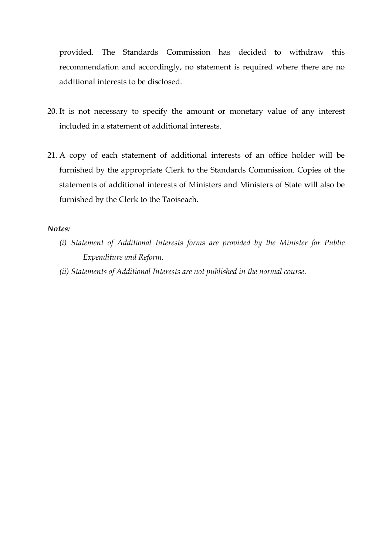provided. The Standards Commission has decided to withdraw this recommendation and accordingly, no statement is required where there are no additional interests to be disclosed.

- 20. It is not necessary to specify the amount or monetary value of any interest included in a statement of additional interests.
- 21. A copy of each statement of additional interests of an office holder will be furnished by the appropriate Clerk to the Standards Commission. Copies of the statements of additional interests of Ministers and Ministers of State will also be furnished by the Clerk to the Taoiseach.

#### *Notes:*

- *(i) Statement of Additional Interests forms are provided by the Minister for Public Expenditure and Reform.*
- *(ii) Statements of Additional Interests are not published in the normal course.*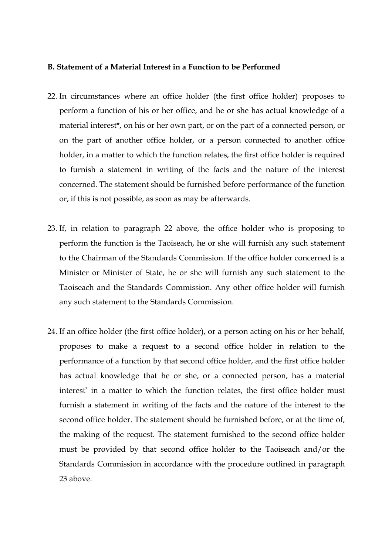#### **B. Statement of a Material Interest in a Function to be Performed**

- 22. In circumstances where an office holder (the first office holder) proposes to perform a function of his or her office, and he or she has actual knowledge of a material interest\*, on his or her own part, or on the part of a connected person, or on the part of another office holder, or a person connected to another office holder, in a matter to which the function relates, the first office holder is required to furnish a statement in writing of the facts and the nature of the interest concerned. The statement should be furnished before performance of the function or, if this is not possible, as soon as may be afterwards.
- 23. If, in relation to paragraph 22 above, the office holder who is proposing to perform the function is the Taoiseach, he or she will furnish any such statement to the Chairman of the Standards Commission. If the office holder concerned is a Minister or Minister of State, he or she will furnish any such statement to the Taoiseach and the Standards Commission. Any other office holder will furnish any such statement to the Standards Commission.
- 24. If an office holder (the first office holder), or a person acting on his or her behalf, proposes to make a request to a second office holder in relation to the performance of a function by that second office holder, and the first office holder has actual knowledge that he or she, or a connected person, has a material interest\* in a matter to which the function relates, the first office holder must furnish a statement in writing of the facts and the nature of the interest to the second office holder. The statement should be furnished before, or at the time of, the making of the request. The statement furnished to the second office holder must be provided by that second office holder to the Taoiseach and/or the Standards Commission in accordance with the procedure outlined in paragraph 23 above.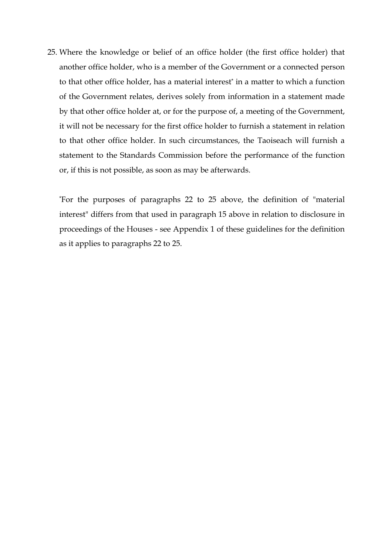25. Where the knowledge or belief of an office holder (the first office holder) that another office holder, who is a member of the Government or a connected person to that other office holder, has a material interest \* in a matter to which a function of the Government relates, derives solely from information in a statement made by that other office holder at, or for the purpose of, a meeting of the Government, it will not be necessary for the first office holder to furnish a statement in relation to that other office holder. In such circumstances, the Taoiseach will furnish a statement to the Standards Commission before the performance of the function or, if this is not possible, as soon as may be afterwards.

\*For the purposes of paragraphs 22 to 25 above, the definition of "material interest" differs from that used in paragraph 15 above in relation to disclosure in proceedings of the Houses - see Appendix 1 of these guidelines for the definition as it applies to paragraphs 22 to 25.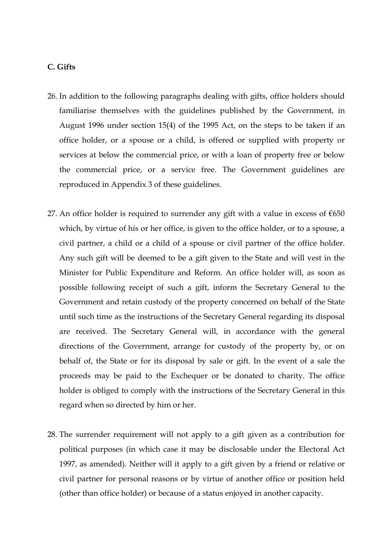#### **C. Gifts**

- 26. In addition to the following paragraphs dealing with gifts, office holders should familiarise themselves with the guidelines published by the Government, in August 1996 under section 15(4) of the 1995 Act, on the steps to be taken if an office holder, or a spouse or a child, is offered or supplied with property or services at below the commercial price, or with a loan of property free or below the commercial price, or a service free. The Government guidelines are reproduced in Appendix 3 of these guidelines.
- 27. An office holder is required to surrender any gift with a value in excess of  $€650$ which, by virtue of his or her office, is given to the office holder, or to a spouse, a civil partner, a child or a child of a spouse or civil partner of the office holder. Any such gift will be deemed to be a gift given to the State and will vest in the Minister for Public Expenditure and Reform. An office holder will, as soon as possible following receipt of such a gift, inform the Secretary General to the Government and retain custody of the property concerned on behalf of the State until such time as the instructions of the Secretary General regarding its disposal are received. The Secretary General will, in accordance with the general directions of the Government, arrange for custody of the property by, or on behalf of, the State or for its disposal by sale or gift. In the event of a sale the proceeds may be paid to the Exchequer or be donated to charity. The office holder is obliged to comply with the instructions of the Secretary General in this regard when so directed by him or her.
- 28. The surrender requirement will not apply to a gift given as a contribution for political purposes (in which case it may be disclosable under the Electoral Act 1997, as amended). Neither will it apply to a gift given by a friend or relative or civil partner for personal reasons or by virtue of another office or position held (other than office holder) or because of a status enjoyed in another capacity.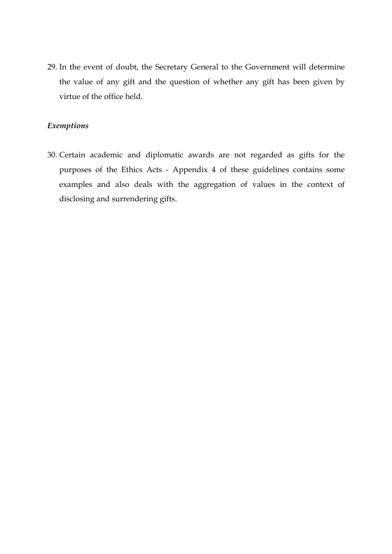29. In the event of doubt, the Secretary General to the Government will determine the value of any gift and the question of whether any gift has been given by virtue of the office held.

#### *Exemptions*

30. Certain academic and diplomatic awards are not regarded as gifts for the purposes of the Ethics Acts - Appendix 4 of these guidelines contains some examples and also deals with the aggregation of values in the context of disclosing and surrendering gifts.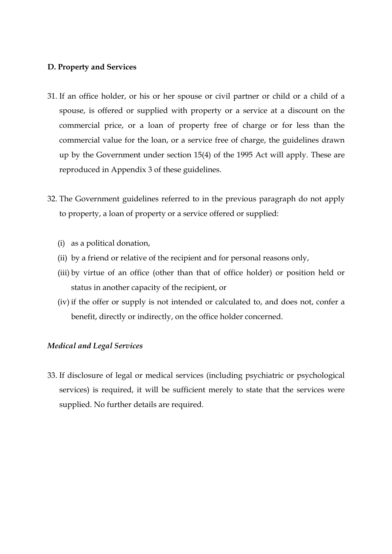#### **D. Property and Services**

- 31. If an office holder, or his or her spouse or civil partner or child or a child of a spouse, is offered or supplied with property or a service at a discount on the commercial price, or a loan of property free of charge or for less than the commercial value for the loan, or a service free of charge, the guidelines drawn up by the Government under section 15(4) of the 1995 Act will apply. These are reproduced in Appendix 3 of these guidelines.
- 32. The Government guidelines referred to in the previous paragraph do not apply to property, a loan of property or a service offered or supplied:
	- (i) as a political donation,
	- (ii) by a friend or relative of the recipient and for personal reasons only,
	- (iii) by virtue of an office (other than that of office holder) or position held or status in another capacity of the recipient, or
	- (iv) if the offer or supply is not intended or calculated to, and does not, confer a benefit, directly or indirectly, on the office holder concerned.

#### *Medical and Legal Services*

33. If disclosure of legal or medical services (including psychiatric or psychological services) is required, it will be sufficient merely to state that the services were supplied. No further details are required.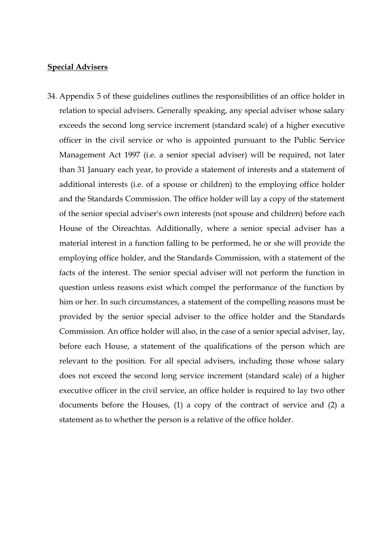#### **Special Advisers**

34. Appendix 5 of these guidelines outlines the responsibilities of an office holder in relation to special advisers. Generally speaking, any special adviser whose salary exceeds the second long service increment (standard scale) of a higher executive officer in the civil service or who is appointed pursuant to the Public Service Management Act 1997 (i.e. a senior special adviser) will be required, not later than 31 January each year, to provide a statement of interests and a statement of additional interests (i.e. of a spouse or children) to the employing office holder and the Standards Commission. The office holder will lay a copy of the statement of the senior special adviser's own interests (not spouse and children) before each House of the Oireachtas. Additionally, where a senior special adviser has a material interest in a function falling to be performed, he or she will provide the employing office holder, and the Standards Commission, with a statement of the facts of the interest. The senior special adviser will not perform the function in question unless reasons exist which compel the performance of the function by him or her. In such circumstances, a statement of the compelling reasons must be provided by the senior special adviser to the office holder and the Standards Commission. An office holder will also, in the case of a senior special adviser, lay, before each House, a statement of the qualifications of the person which are relevant to the position. For all special advisers, including those whose salary does not exceed the second long service increment (standard scale) of a higher executive officer in the civil service, an office holder is required to lay two other documents before the Houses, (1) a copy of the contract of service and (2) a statement as to whether the person is a relative of the office holder.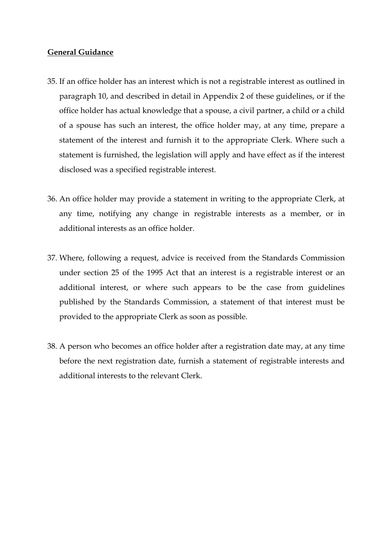#### **General Guidance**

- 35. If an office holder has an interest which is not a registrable interest as outlined in paragraph 10, and described in detail in Appendix 2 of these guidelines, or if the office holder has actual knowledge that a spouse, a civil partner, a child or a child of a spouse has such an interest, the office holder may, at any time, prepare a statement of the interest and furnish it to the appropriate Clerk. Where such a statement is furnished, the legislation will apply and have effect as if the interest disclosed was a specified registrable interest.
- 36. An office holder may provide a statement in writing to the appropriate Clerk, at any time, notifying any change in registrable interests as a member, or in additional interests as an office holder.
- 37. Where, following a request, advice is received from the Standards Commission under section 25 of the 1995 Act that an interest is a registrable interest or an additional interest, or where such appears to be the case from guidelines published by the Standards Commission, a statement of that interest must be provided to the appropriate Clerk as soon as possible.
- 38. A person who becomes an office holder after a registration date may, at any time before the next registration date, furnish a statement of registrable interests and additional interests to the relevant Clerk.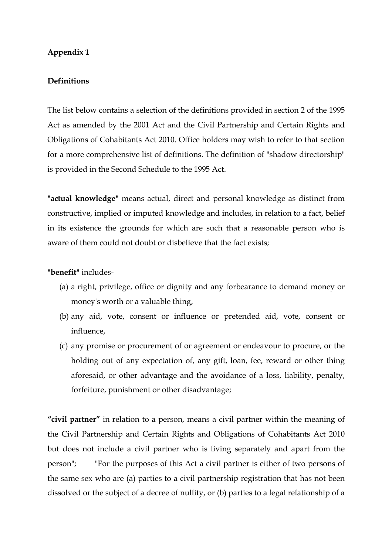#### **Appendix 1**

#### **Definitions**

The list below contains a selection of the definitions provided in section 2 of the 1995 Act as amended by the 2001 Act and the Civil Partnership and Certain Rights and Obligations of Cohabitants Act 2010. Office holders may wish to refer to that section for a more comprehensive list of definitions. The definition of "shadow directorship" is provided in the Second Schedule to the 1995 Act.

**"actual knowledge"** means actual, direct and personal knowledge as distinct from constructive, implied or imputed knowledge and includes, in relation to a fact, belief in its existence the grounds for which are such that a reasonable person who is aware of them could not doubt or disbelieve that the fact exists;

#### **"benefit"** includes-

- (a) a right, privilege, office or dignity and any forbearance to demand money or money's worth or a valuable thing,
- (b) any aid, vote, consent or influence or pretended aid, vote, consent or influence,
- (c) any promise or procurement of or agreement or endeavour to procure, or the holding out of any expectation of, any gift, loan, fee, reward or other thing aforesaid, or other advantage and the avoidance of a loss, liability, penalty, forfeiture, punishment or other disadvantage;

**"civil partner"** in relation to a person, means a civil partner within the meaning of the Civil Partnership and Certain Rights and Obligations of Cohabitants Act 2010 but does not include a civil partner who is living separately and apart from the person"; "For the purposes of this Act a civil partner is either of two persons of the same sex who are (a) parties to a civil partnership registration that has not been dissolved or the subject of a decree of nullity, or (b) parties to a legal relationship of a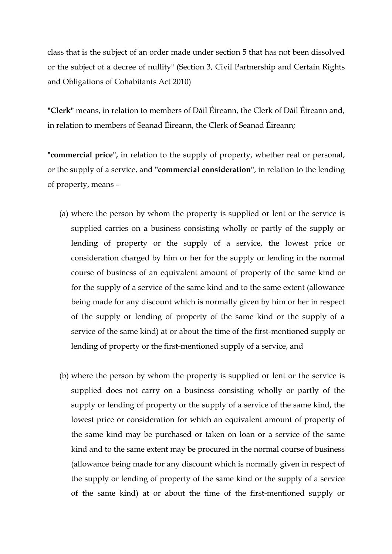class that is the subject of an order made under section 5 that has not been dissolved or the subject of a decree of nullity" (Section 3, Civil Partnership and Certain Rights and Obligations of Cohabitants Act 2010)

**"Clerk"** means, in relation to members of Dáil Éireann, the Clerk of Dáil Éireann and, in relation to members of Seanad Éireann, the Clerk of Seanad Éireann;

**"commercial price",** in relation to the supply of property, whether real or personal, or the supply of a service, and **"commercial consideration"**, in relation to the lending of property, means –

- (a) where the person by whom the property is supplied or lent or the service is supplied carries on a business consisting wholly or partly of the supply or lending of property or the supply of a service, the lowest price or consideration charged by him or her for the supply or lending in the normal course of business of an equivalent amount of property of the same kind or for the supply of a service of the same kind and to the same extent (allowance being made for any discount which is normally given by him or her in respect of the supply or lending of property of the same kind or the supply of a service of the same kind) at or about the time of the first-mentioned supply or lending of property or the first-mentioned supply of a service, and
- (b) where the person by whom the property is supplied or lent or the service is supplied does not carry on a business consisting wholly or partly of the supply or lending of property or the supply of a service of the same kind, the lowest price or consideration for which an equivalent amount of property of the same kind may be purchased or taken on loan or a service of the same kind and to the same extent may be procured in the normal course of business (allowance being made for any discount which is normally given in respect of the supply or lending of property of the same kind or the supply of a service of the same kind) at or about the time of the first-mentioned supply or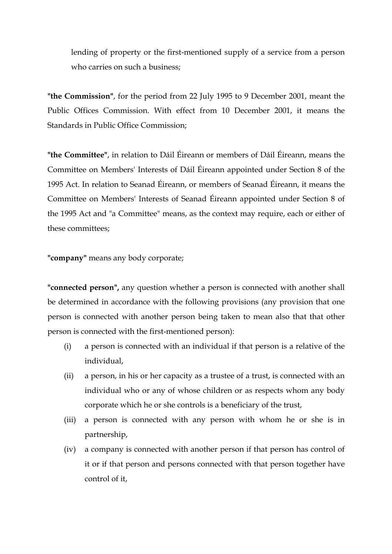lending of property or the first-mentioned supply of a service from a person who carries on such a business;

**"the Commission"**, for the period from 22 July 1995 to 9 December 2001, meant the Public Offices Commission. With effect from 10 December 2001, it means the Standards in Public Office Commission;

**"the Committee"**, in relation to Dáil Éireann or members of Dáil Éireann, means the Committee on Members' Interests of Dáil Éireann appointed under Section 8 of the 1995 Act. In relation to Seanad Éireann, or members of Seanad Éireann, it means the Committee on Members' Interests of Seanad Éireann appointed under Section 8 of the 1995 Act and "a Committee" means, as the context may require, each or either of these committees;

**"company"** means any body corporate;

**"connected person",** any question whether a person is connected with another shall be determined in accordance with the following provisions (any provision that one person is connected with another person being taken to mean also that that other person is connected with the first-mentioned person):

- (i) a person is connected with an individual if that person is a relative of the individual,
- (ii) a person, in his or her capacity as a trustee of a trust, is connected with an individual who or any of whose children or as respects whom any body corporate which he or she controls is a beneficiary of the trust,
- (iii) a person is connected with any person with whom he or she is in partnership,
- (iv) a company is connected with another person if that person has control of it or if that person and persons connected with that person together have control of it,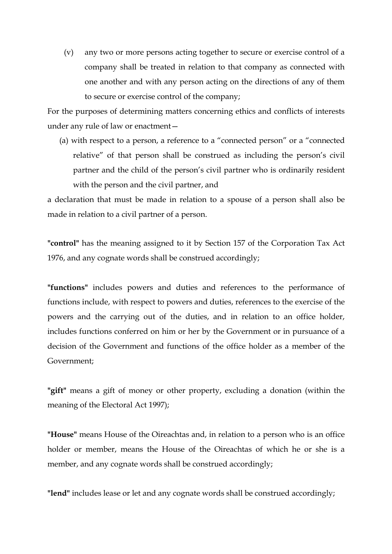(v) any two or more persons acting together to secure or exercise control of a company shall be treated in relation to that company as connected with one another and with any person acting on the directions of any of them to secure or exercise control of the company;

For the purposes of determining matters concerning ethics and conflicts of interests under any rule of law or enactment—

(a) with respect to a person, a reference to a "connected person" or a "connected relative" of that person shall be construed as including the person's civil partner and the child of the person's civil partner who is ordinarily resident with the person and the civil partner, and

a declaration that must be made in relation to a spouse of a person shall also be made in relation to a civil partner of a person.

**"control"** has the meaning assigned to it by Section 157 of the Corporation Tax Act 1976, and any cognate words shall be construed accordingly;

**"functions"** includes powers and duties and references to the performance of functions include, with respect to powers and duties, references to the exercise of the powers and the carrying out of the duties, and in relation to an office holder, includes functions conferred on him or her by the Government or in pursuance of a decision of the Government and functions of the office holder as a member of the Government;

**"gift"** means a gift of money or other property, excluding a donation (within the meaning of the Electoral Act 1997);

**"House"** means House of the Oireachtas and, in relation to a person who is an office holder or member, means the House of the Oireachtas of which he or she is a member, and any cognate words shall be construed accordingly;

**"lend"** includes lease or let and any cognate words shall be construed accordingly;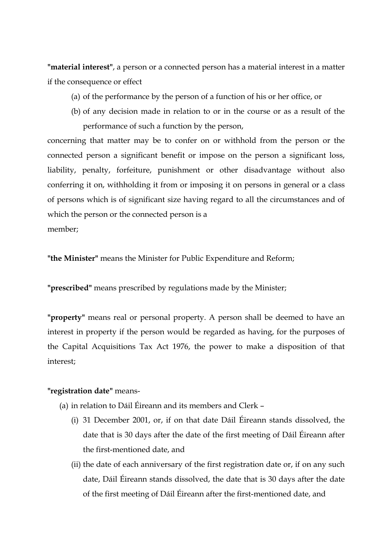**"material interest"**, a person or a connected person has a material interest in a matter if the consequence or effect

- (a) of the performance by the person of a function of his or her office, or
- (b) of any decision made in relation to or in the course or as a result of the performance of such a function by the person,

concerning that matter may be to confer on or withhold from the person or the connected person a significant benefit or impose on the person a significant loss, liability, penalty, forfeiture, punishment or other disadvantage without also conferring it on, withholding it from or imposing it on persons in general or a class of persons which is of significant size having regard to all the circumstances and of which the person or the connected person is a member;

**"the Minister"** means the Minister for Public Expenditure and Reform;

**"prescribed"** means prescribed by regulations made by the Minister;

**"property"** means real or personal property. A person shall be deemed to have an interest in property if the person would be regarded as having, for the purposes of the Capital Acquisitions Tax Act 1976, the power to make a disposition of that interest;

#### **"registration date"** means-

- (a) in relation to Dáil Éireann and its members and Clerk
	- (i) 31 December 2001, or, if on that date Dáil Éireann stands dissolved, the date that is 30 days after the date of the first meeting of Dáil Éireann after the first-mentioned date, and
	- (ii) the date of each anniversary of the first registration date or, if on any such date, Dáil Éireann stands dissolved, the date that is 30 days after the date of the first meeting of Dáil Éireann after the first-mentioned date, and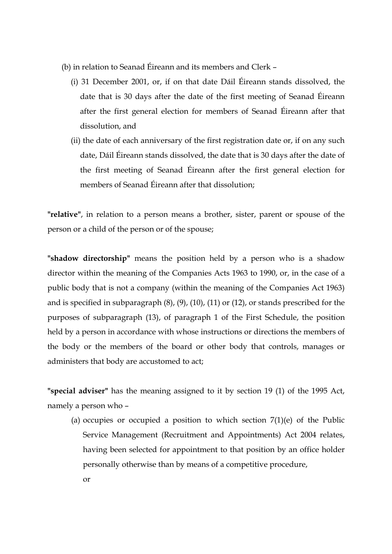- (b) in relation to Seanad Éireann and its members and Clerk
	- (i) 31 December 2001, or, if on that date Dáil Éireann stands dissolved, the date that is 30 days after the date of the first meeting of Seanad Éireann after the first general election for members of Seanad Éireann after that dissolution, and
	- (ii) the date of each anniversary of the first registration date or, if on any such date, Dáil Éireann stands dissolved, the date that is 30 days after the date of the first meeting of Seanad Éireann after the first general election for members of Seanad Éireann after that dissolution;

**"relative"**, in relation to a person means a brother, sister, parent or spouse of the person or a child of the person or of the spouse;

**"shadow directorship"** means the position held by a person who is a shadow director within the meaning of the Companies Acts 1963 to 1990, or, in the case of a public body that is not a company (within the meaning of the Companies Act 1963) and is specified in subparagraph (8), (9), (10), (11) or (12), or stands prescribed for the purposes of subparagraph (13), of paragraph 1 of the First Schedule, the position held by a person in accordance with whose instructions or directions the members of the body or the members of the board or other body that controls, manages or administers that body are accustomed to act;

**"special adviser"** has the meaning assigned to it by section 19 (1) of the 1995 Act, namely a person who –

(a) occupies or occupied a position to which section  $7(1)(e)$  of the Public Service Management (Recruitment and Appointments) Act 2004 relates, having been selected for appointment to that position by an office holder personally otherwise than by means of a competitive procedure, or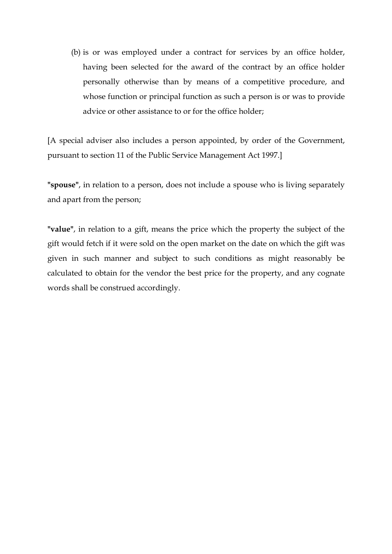(b) is or was employed under a contract for services by an office holder, having been selected for the award of the contract by an office holder personally otherwise than by means of a competitive procedure, and whose function or principal function as such a person is or was to provide advice or other assistance to or for the office holder;

[A special adviser also includes a person appointed, by order of the Government, pursuant to section 11 of the Public Service Management Act 1997.]

**"spouse"**, in relation to a person, does not include a spouse who is living separately and apart from the person;

**"value"**, in relation to a gift, means the price which the property the subject of the gift would fetch if it were sold on the open market on the date on which the gift was given in such manner and subject to such conditions as might reasonably be calculated to obtain for the vendor the best price for the property, and any cognate words shall be construed accordingly.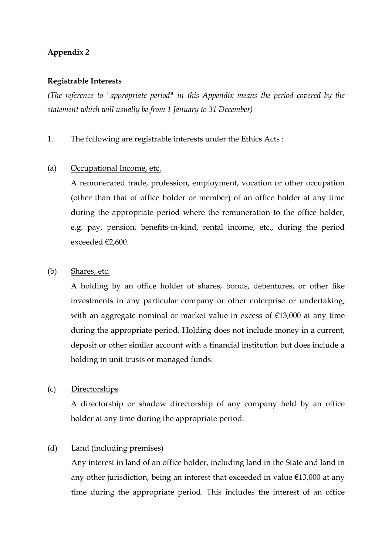#### **Appendix 2**

#### **Registrable Interests**

*(The reference to "appropriate period" in this Appendix means the period covered by the statement which will usually be from 1 January to 31 December)* 

- 1. The following are registrable interests under the Ethics Acts :
- (a) Occupational Income, etc.

A remunerated trade, profession, employment, vocation or other occupation (other than that of office holder or member) of an office holder at any time during the appropriate period where the remuneration to the office holder, e.g. pay, pension, benefits-in-kind, rental income, etc., during the period exceeded €2,600.

(b) Shares, etc.

A holding by an office holder of shares, bonds, debentures, or other like investments in any particular company or other enterprise or undertaking, with an aggregate nominal or market value in excess of  $£13,000$  at any time during the appropriate period. Holding does not include money in a current, deposit or other similar account with a financial institution but does include a holding in unit trusts or managed funds.

(c) Directorships

A directorship or shadow directorship of any company held by an office holder at any time during the appropriate period.

#### (d) Land (including premises)

Any interest in land of an office holder, including land in the State and land in any other jurisdiction, being an interest that exceeded in value €13,000 at any time during the appropriate period. This includes the interest of an office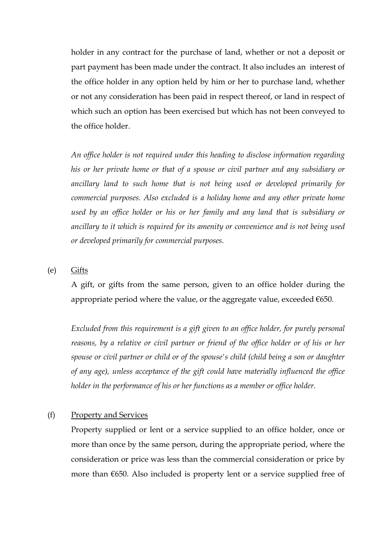holder in any contract for the purchase of land, whether or not a deposit or part payment has been made under the contract. It also includes an interest of the office holder in any option held by him or her to purchase land, whether or not any consideration has been paid in respect thereof, or land in respect of which such an option has been exercised but which has not been conveyed to the office holder.

*An office holder is not required under this heading to disclose information regarding his or her private home or that of a spouse or civil partner and any subsidiary or ancillary land to such home that is not being used or developed primarily for commercial purposes. Also excluded is a holiday home and any other private home used by an office holder or his or her family and any land that is subsidiary or ancillary to it which is required for its amenity or convenience and is not being used or developed primarily for commercial purposes.* 

(e) Gifts

A gift, or gifts from the same person, given to an office holder during the appropriate period where the value, or the aggregate value, exceeded  $€650$ .

*Excluded from this requirement is a gift given to an office holder, for purely personal reasons, by a relative or civil partner or friend of the office holder or of his or her spouse or civil partner or child or of the spouse's child (child being a son or daughter of any age), unless acceptance of the gift could have materially influenced the office holder in the performance of his or her functions as a member or office holder.* 

#### (f) Property and Services

Property supplied or lent or a service supplied to an office holder, once or more than once by the same person, during the appropriate period, where the consideration or price was less than the commercial consideration or price by more than €650. Also included is property lent or a service supplied free of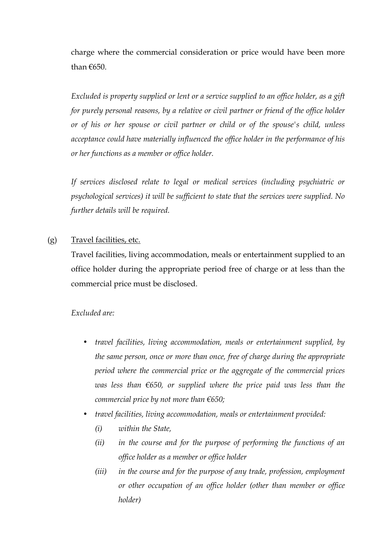charge where the commercial consideration or price would have been more than  $€650$ .

*Excluded is property supplied or lent or a service supplied to an office holder, as a gift for purely personal reasons, by a relative or civil partner or friend of the office holder or of his or her spouse or civil partner or child or of the spouse's child, unless acceptance could have materially influenced the office holder in the performance of his or her functions as a member or office holder.* 

*If services disclosed relate to legal or medical services (including psychiatric or psychological services) it will be sufficient to state that the services were supplied. No further details will be required.* 

#### $(g)$  Travel facilities, etc.

Travel facilities, living accommodation, meals or entertainment supplied to an office holder during the appropriate period free of charge or at less than the commercial price must be disclosed.

#### *Excluded are:*

- *travel facilities, living accommodation, meals or entertainment supplied, by the same person, once or more than once, free of charge during the appropriate period where the commercial price or the aggregate of the commercial prices was less than €650, or supplied where the price paid was less than the commercial price by not more than €650;*
- *travel facilities, living accommodation, meals or entertainment provided:* 
	- *(i) within the State,*
	- *(ii) in the course and for the purpose of performing the functions of an office holder as a member or office holder*
	- *(iii) in the course and for the purpose of any trade, profession, employment or other occupation of an office holder (other than member or office holder)*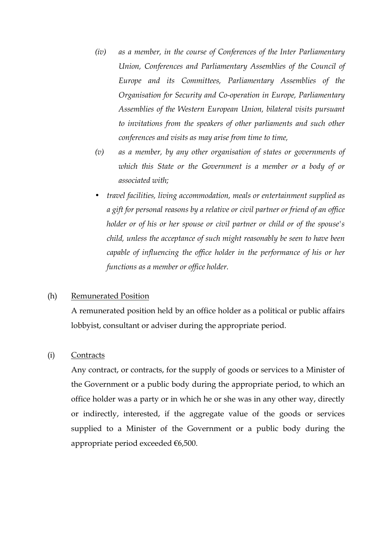- *(iv) as a member, in the course of Conferences of the Inter Parliamentary Union, Conferences and Parliamentary Assemblies of the Council of Europe and its Committees, Parliamentary Assemblies of the Organisation for Security and Co-operation in Europe, Parliamentary Assemblies of the Western European Union, bilateral visits pursuant to invitations from the speakers of other parliaments and such other conferences and visits as may arise from time to time,*
- *(v) as a member, by any other organisation of states or governments of which this State or the Government is a member or a body of or associated with;*
- *travel facilities, living accommodation, meals or entertainment supplied as a gift for personal reasons by a relative or civil partner or friend of an office holder or of his or her spouse or civil partner or child or of the spouse's child, unless the acceptance of such might reasonably be seen to have been capable of influencing the office holder in the performance of his or her functions as a member or office holder.*

#### (h) Remunerated Position

A remunerated position held by an office holder as a political or public affairs lobbyist, consultant or adviser during the appropriate period.

#### (i) Contracts

Any contract, or contracts, for the supply of goods or services to a Minister of the Government or a public body during the appropriate period, to which an office holder was a party or in which he or she was in any other way, directly or indirectly, interested, if the aggregate value of the goods or services supplied to a Minister of the Government or a public body during the appropriate period exceeded €6,500.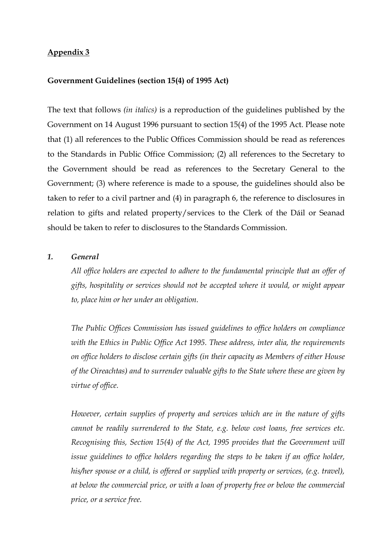#### **Appendix 3**

#### **Government Guidelines (section 15(4) of 1995 Act)**

The text that follows *(in italics)* is a reproduction of the guidelines published by the Government on 14 August 1996 pursuant to section 15(4) of the 1995 Act. Please note that (1) all references to the Public Offices Commission should be read as references to the Standards in Public Office Commission; (2) all references to the Secretary to the Government should be read as references to the Secretary General to the Government; (3) where reference is made to a spouse, the guidelines should also be taken to refer to a civil partner and (4) in paragraph 6, the reference to disclosures in relation to gifts and related property/services to the Clerk of the Dáil or Seanad should be taken to refer to disclosures to the Standards Commission.

#### *1. General*

*All office holders are expected to adhere to the fundamental principle that an offer of gifts, hospitality or services should not be accepted where it would, or might appear to, place him or her under an obligation.* 

*The Public Offices Commission has issued guidelines to office holders on compliance with the Ethics in Public Office Act 1995. These address, inter alia, the requirements on office holders to disclose certain gifts (in their capacity as Members of either House of the Oireachtas) and to surrender valuable gifts to the State where these are given by virtue of office.* 

*However, certain supplies of property and services which are in the nature of gifts cannot be readily surrendered to the State, e.g. below cost loans, free services etc. Recognising this, Section 15(4) of the Act, 1995 provides that the Government will issue guidelines to office holders regarding the steps to be taken if an office holder, his/her spouse or a child, is offered or supplied with property or services, (e.g. travel), at below the commercial price, or with a loan of property free or below the commercial price, or a service free.*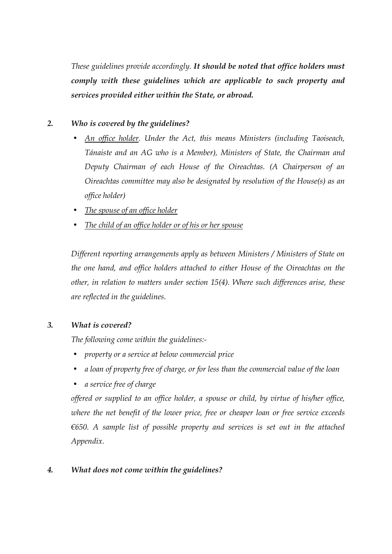*These guidelines provide accordingly. It should be noted that office holders must comply with these guidelines which are applicable to such property and services provided either within the State, or abroad.*

#### *2. Who is covered by the guidelines?*

- *An office holder. Under the Act, this means Ministers (including Taoiseach, Tánaiste and an AG who is a Member), Ministers of State, the Chairman and Deputy Chairman of each House of the Oireachtas. (A Chairperson of an Oireachtas committee may also be designated by resolution of the House(s) as an office holder)*
- *The spouse of an office holder*
- *The child of an office holder or of his or her spouse*

*Different reporting arrangements apply as between Ministers / Ministers of State on the one hand, and office holders attached to either House of the Oireachtas on the other, in relation to matters under section 15(4). Where such differences arise, these are reflected in the guidelines.* 

#### *3. What is covered?*

*The following come within the guidelines:-* 

- *property or a service at below commercial price*
- *a loan of property free of charge, or for less than the commercial value of the loan*
- *a service free of charge*

*offered or supplied to an office holder, a spouse or child, by virtue of his/her office, where the net benefit of the lower price, free or cheaper loan or free service exceeds €650. A sample list of possible property and services is set out in the attached Appendix.* 

#### *4. What does not come within the guidelines?*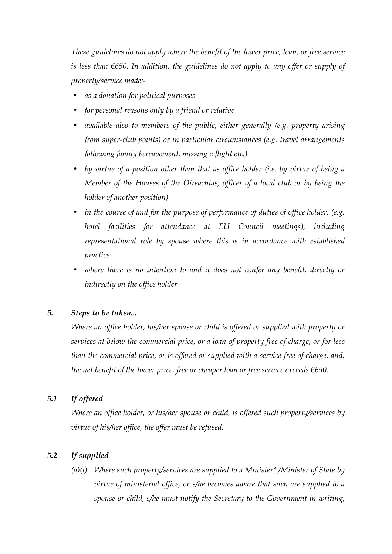*These guidelines do not apply where the benefit of the lower price, loan, or free service is less than €650. In addition, the guidelines do not apply to any offer or supply of property/service made:-* 

- *as a donation for political purposes*
- *for personal reasons only by a friend or relative*
- *available also to members of the public, either generally (e.g. property arising from super-club points) or in particular circumstances (e.g. travel arrangements following family bereavement, missing a flight etc.)*
- *by virtue of a position other than that as office holder (i.e. by virtue of being a Member of the Houses of the Oireachtas, officer of a local club or by being the holder of another position)*
- *in the course of and for the purpose of performance of duties of office holder, (e.g. hotel facilities for attendance at EU Council meetings), including representational role by spouse where this is in accordance with established practice*
- *where there is no intention to and it does not confer any benefit, directly or indirectly on the office holder*

#### *5. Steps to be taken...*

*Where an office holder, his/her spouse or child is offered or supplied with property or services at below the commercial price, or a loan of property free of charge, or for less than the commercial price, or is offered or supplied with a service free of charge, and, the net benefit of the lower price, free or cheaper loan or free service exceeds €650.* 

#### *5.1 If offered*

*Where an office holder, or his/her spouse or child, is offered such property/services by virtue of his/her office, the offer must be refused.* 

#### *5.2 If supplied*

*(a)(i) Where such property/services are supplied to a Minister\* /Minister of State by virtue of ministerial office, or s/he becomes aware that such are supplied to a spouse or child, s/he must notify the Secretary to the Government in writing,*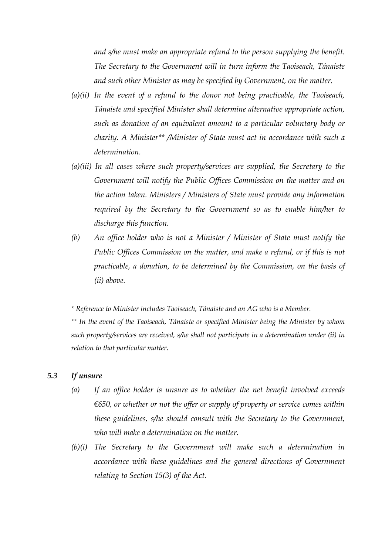*and s/he must make an appropriate refund to the person supplying the benefit. The Secretary to the Government will in turn inform the Taoiseach, Tánaiste and such other Minister as may be specified by Government, on the matter.* 

- *(a)(ii) In the event of a refund to the donor not being practicable, the Taoiseach, Tánaiste and specified Minister shall determine alternative appropriate action, such as donation of an equivalent amount to a particular voluntary body or charity. A Minister\*\* /Minister of State must act in accordance with such a determination.*
- *(a)(iii) In all cases where such property/services are supplied, the Secretary to the Government will notify the Public Offices Commission on the matter and on the action taken. Ministers / Ministers of State must provide any information required by the Secretary to the Government so as to enable him/her to discharge this function.*
- *(b) An office holder who is not a Minister / Minister of State must notify the Public Offices Commission on the matter, and make a refund, or if this is not practicable, a donation, to be determined by the Commission, on the basis of (ii) above.*

*\* Reference to Minister includes Taoiseach, Tánaiste and an AG who is a Member.* 

*\*\* In the event of the Taoiseach, Tánaiste or specified Minister being the Minister by whom such property/services are received, s/he shall not participate in a determination under (ii) in relation to that particular matter.*

#### *5.3 If unsure*

- *(a) If an office holder is unsure as to whether the net benefit involved exceeds €650, or whether or not the offer or supply of property or service comes within these guidelines, s/he should consult with the Secretary to the Government, who will make a determination on the matter.*
- *(b)(i) The Secretary to the Government will make such a determination in accordance with these guidelines and the general directions of Government relating to Section 15(3) of the Act.*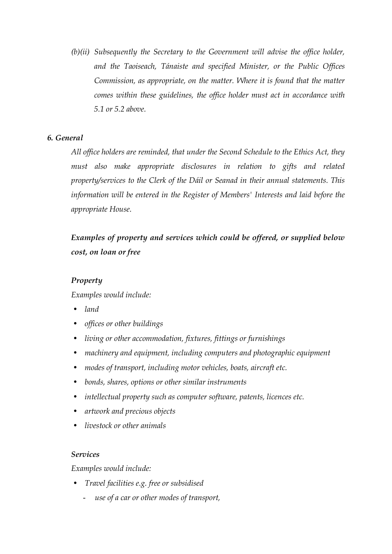*(b)(ii) Subsequently the Secretary to the Government will advise the office holder, and the Taoiseach, Tánaiste and specified Minister, or the Public Offices Commission, as appropriate, on the matter. Where it is found that the matter comes within these guidelines, the office holder must act in accordance with 5.1 or 5.2 above.* 

#### *6. General*

*All office holders are reminded, that under the Second Schedule to the Ethics Act, they*  must also make appropriate disclosures in relation to gifts and related *property/services to the Clerk of the Dáil or Seanad in their annual statements. This information will be entered in the Register of Members' Interests and laid before the appropriate House.* 

*Examples of property and services which could be offered, or supplied below cost, on loan or free* 

#### *Property*

*Examples would include:* 

- *land*
- *offices or other buildings*
- *living or other accommodation, fixtures, fittings or furnishings*
- *machinery and equipment, including computers and photographic equipment*
- *modes of transport, including motor vehicles, boats, aircraft etc.*
- *bonds, shares, options or other similar instruments*
- *intellectual property such as computer software, patents, licences etc.*
- *artwork and precious objects*
- *livestock or other animals*

#### *Services*

*Examples would include:* 

- *Travel facilities e.g. free or subsidised* 
	- *use of a car or other modes of transport,*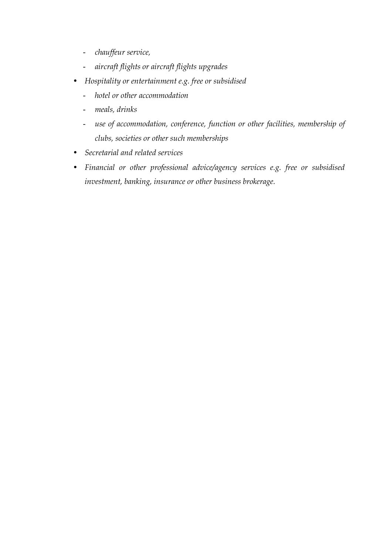- *chauffeur service,*
- *aircraft flights or aircraft flights upgrades*
- *Hospitality or entertainment e.g. free or subsidised* 
	- *hotel or other accommodation*
	- *meals, drinks*
	- *use of accommodation, conference, function or other facilities, membership of clubs, societies or other such memberships*
- *Secretarial and related services*
- *Financial or other professional advice/agency services e.g. free or subsidised investment, banking, insurance or other business brokerage.*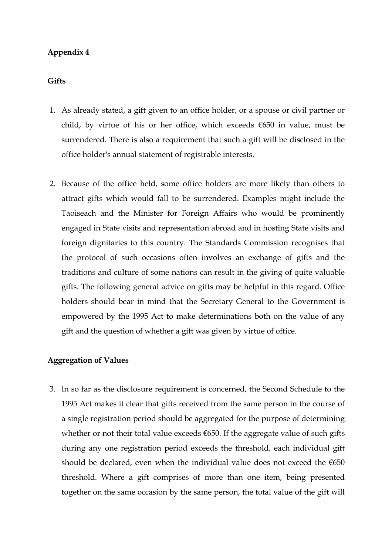#### **Appendix 4**

#### **Gifts**

- 1. As already stated, a gift given to an office holder, or a spouse or civil partner or child, by virtue of his or her office, which exceeds €650 in value, must be surrendered. There is also a requirement that such a gift will be disclosed in the office holder's annual statement of registrable interests.
- 2. Because of the office held, some office holders are more likely than others to attract gifts which would fall to be surrendered. Examples might include the Taoiseach and the Minister for Foreign Affairs who would be prominently engaged in State visits and representation abroad and in hosting State visits and foreign dignitaries to this country. The Standards Commission recognises that the protocol of such occasions often involves an exchange of gifts and the traditions and culture of some nations can result in the giving of quite valuable gifts. The following general advice on gifts may be helpful in this regard. Office holders should bear in mind that the Secretary General to the Government is empowered by the 1995 Act to make determinations both on the value of any gift and the question of whether a gift was given by virtue of office.

#### **Aggregation of Values**

3. In so far as the disclosure requirement is concerned, the Second Schedule to the 1995 Act makes it clear that gifts received from the same person in the course of a single registration period should be aggregated for the purpose of determining whether or not their total value exceeds  $€650$ . If the aggregate value of such gifts during any one registration period exceeds the threshold, each individual gift should be declared, even when the individual value does not exceed the  $€650$ threshold. Where a gift comprises of more than one item, being presented together on the same occasion by the same person, the total value of the gift will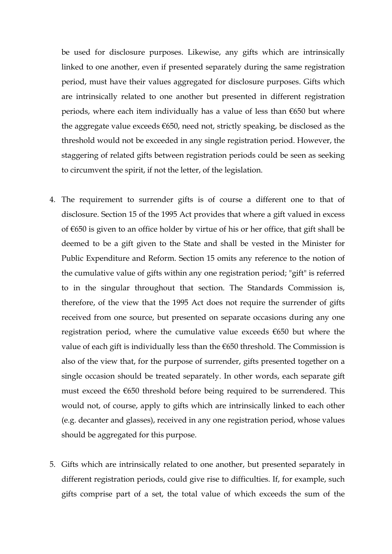be used for disclosure purposes. Likewise, any gifts which are intrinsically linked to one another, even if presented separately during the same registration period, must have their values aggregated for disclosure purposes. Gifts which are intrinsically related to one another but presented in different registration periods, where each item individually has a value of less than  $€650$  but where the aggregate value exceeds €650, need not, strictly speaking, be disclosed as the threshold would not be exceeded in any single registration period. However, the staggering of related gifts between registration periods could be seen as seeking to circumvent the spirit, if not the letter, of the legislation.

- 4. The requirement to surrender gifts is of course a different one to that of disclosure. Section 15 of the 1995 Act provides that where a gift valued in excess of €650 is given to an office holder by virtue of his or her office, that gift shall be deemed to be a gift given to the State and shall be vested in the Minister for Public Expenditure and Reform. Section 15 omits any reference to the notion of the cumulative value of gifts within any one registration period; "gift" is referred to in the singular throughout that section. The Standards Commission is, therefore, of the view that the 1995 Act does not require the surrender of gifts received from one source, but presented on separate occasions during any one registration period, where the cumulative value exceeds €650 but where the value of each gift is individually less than the  $€650$  threshold. The Commission is also of the view that, for the purpose of surrender, gifts presented together on a single occasion should be treated separately. In other words, each separate gift must exceed the €650 threshold before being required to be surrendered. This would not, of course, apply to gifts which are intrinsically linked to each other (e.g. decanter and glasses), received in any one registration period, whose values should be aggregated for this purpose.
- 5. Gifts which are intrinsically related to one another, but presented separately in different registration periods, could give rise to difficulties. If, for example, such gifts comprise part of a set, the total value of which exceeds the sum of the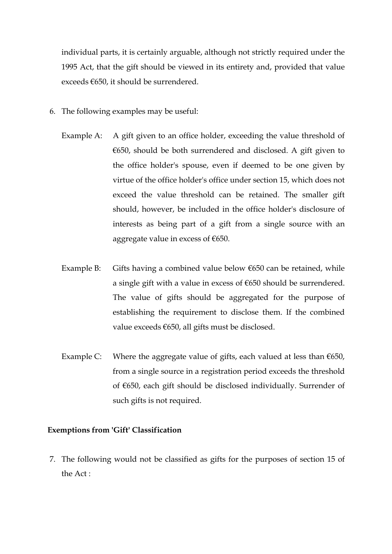individual parts, it is certainly arguable, although not strictly required under the 1995 Act, that the gift should be viewed in its entirety and, provided that value exceeds €650, it should be surrendered.

- 6. The following examples may be useful:
	- Example A: A gift given to an office holder, exceeding the value threshold of €650, should be both surrendered and disclosed. A gift given to the office holder's spouse, even if deemed to be one given by virtue of the office holder's office under section 15, which does not exceed the value threshold can be retained. The smaller gift should, however, be included in the office holder's disclosure of interests as being part of a gift from a single source with an aggregate value in excess of  $€650$ .
	- Example B: Gifts having a combined value below  $\epsilon$ 650 can be retained, while a single gift with a value in excess of  $€650$  should be surrendered. The value of gifts should be aggregated for the purpose of establishing the requirement to disclose them. If the combined value exceeds €650, all gifts must be disclosed.
	- Example C: Where the aggregate value of gifts, each valued at less than  $€650$ , from a single source in a registration period exceeds the threshold of €650, each gift should be disclosed individually. Surrender of such gifts is not required.

#### **Exemptions from 'Gift' Classification**

7. The following would not be classified as gifts for the purposes of section 15 of the Act :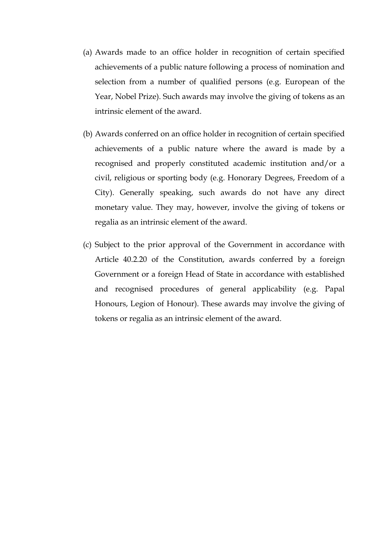- (a) Awards made to an office holder in recognition of certain specified achievements of a public nature following a process of nomination and selection from a number of qualified persons (e.g. European of the Year, Nobel Prize). Such awards may involve the giving of tokens as an intrinsic element of the award.
- (b) Awards conferred on an office holder in recognition of certain specified achievements of a public nature where the award is made by a recognised and properly constituted academic institution and/or a civil, religious or sporting body (e.g. Honorary Degrees, Freedom of a City). Generally speaking, such awards do not have any direct monetary value. They may, however, involve the giving of tokens or regalia as an intrinsic element of the award.
- (c) Subject to the prior approval of the Government in accordance with Article 40.2.20 of the Constitution, awards conferred by a foreign Government or a foreign Head of State in accordance with established and recognised procedures of general applicability (e.g. Papal Honours, Legion of Honour). These awards may involve the giving of tokens or regalia as an intrinsic element of the award.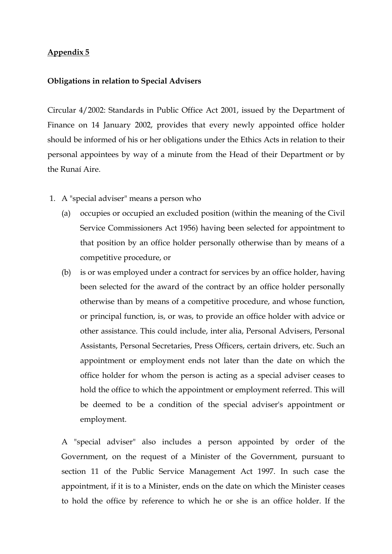#### **Appendix 5**

#### **Obligations in relation to Special Advisers**

Circular 4/2002: Standards in Public Office Act 2001, issued by the Department of Finance on 14 January 2002, provides that every newly appointed office holder should be informed of his or her obligations under the Ethics Acts in relation to their personal appointees by way of a minute from the Head of their Department or by the Runaí Aire.

- 1. A "special adviser" means a person who
	- (a) occupies or occupied an excluded position (within the meaning of the Civil Service Commissioners Act 1956) having been selected for appointment to that position by an office holder personally otherwise than by means of a competitive procedure, or
	- (b) is or was employed under a contract for services by an office holder, having been selected for the award of the contract by an office holder personally otherwise than by means of a competitive procedure, and whose function, or principal function, is, or was, to provide an office holder with advice or other assistance. This could include, inter alia, Personal Advisers, Personal Assistants, Personal Secretaries, Press Officers, certain drivers, etc. Such an appointment or employment ends not later than the date on which the office holder for whom the person is acting as a special adviser ceases to hold the office to which the appointment or employment referred. This will be deemed to be a condition of the special adviser's appointment or employment.

A "special adviser" also includes a person appointed by order of the Government, on the request of a Minister of the Government, pursuant to section 11 of the Public Service Management Act 1997. In such case the appointment, if it is to a Minister, ends on the date on which the Minister ceases to hold the office by reference to which he or she is an office holder. If the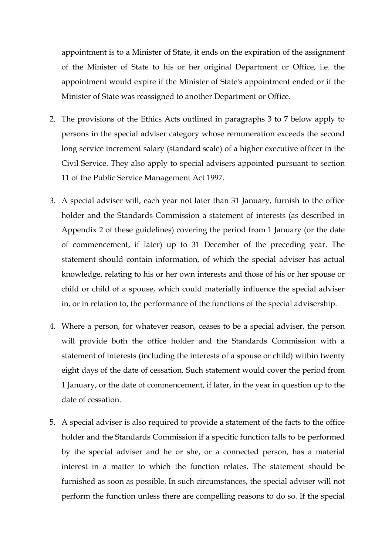appointment is to a Minister of State, it ends on the expiration of the assignment of the Minister of State to his or her original Department or Office, i.e. the appointment would expire if the Minister of State's appointment ended or if the Minister of State was reassigned to another Department or Office.

- 2. The provisions of the Ethics Acts outlined in paragraphs 3 to 7 below apply to persons in the special adviser category whose remuneration exceeds the second long service increment salary (standard scale) of a higher executive officer in the Civil Service. They also apply to special advisers appointed pursuant to section 11 of the Public Service Management Act 1997.
- 3. A special adviser will, each year not later than 31 January, furnish to the office holder and the Standards Commission a statement of interests (as described in Appendix 2 of these guidelines) covering the period from 1 January (or the date of commencement, if later) up to 31 December of the preceding year. The statement should contain information, of which the special adviser has actual knowledge, relating to his or her own interests and those of his or her spouse or child or child of a spouse, which could materially influence the special adviser in, or in relation to, the performance of the functions of the special advisership.
- 4. Where a person, for whatever reason, ceases to be a special adviser, the person will provide both the office holder and the Standards Commission with a statement of interests (including the interests of a spouse or child) within twenty eight days of the date of cessation. Such statement would cover the period from 1 January, or the date of commencement, if later, in the year in question up to the date of cessation.
- 5. A special adviser is also required to provide a statement of the facts to the office holder and the Standards Commission if a specific function falls to be performed by the special adviser and he or she, or a connected person, has a material interest in a matter to which the function relates. The statement should be furnished as soon as possible. In such circumstances, the special adviser will not perform the function unless there are compelling reasons to do so. If the special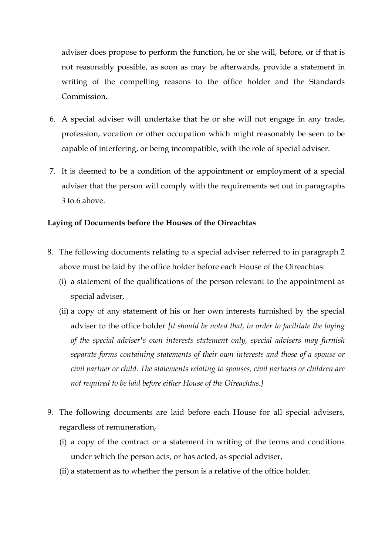adviser does propose to perform the function, he or she will, before, or if that is not reasonably possible, as soon as may be afterwards, provide a statement in writing of the compelling reasons to the office holder and the Standards Commission.

- 6. A special adviser will undertake that he or she will not engage in any trade, profession, vocation or other occupation which might reasonably be seen to be capable of interfering, or being incompatible, with the role of special adviser.
- 7. It is deemed to be a condition of the appointment or employment of a special adviser that the person will comply with the requirements set out in paragraphs 3 to 6 above.

#### **Laying of Documents before the Houses of the Oireachtas**

- 8. The following documents relating to a special adviser referred to in paragraph 2 above must be laid by the office holder before each House of the Oireachtas:
	- (i) a statement of the qualifications of the person relevant to the appointment as special adviser,
	- (ii) a copy of any statement of his or her own interests furnished by the special adviser to the office holder *[it should be noted that, in order to facilitate the laying of the special adviser's own interests statement only, special advisers may furnish separate forms containing statements of their own interests and those of a spouse or civil partner or child. The statements relating to spouses, civil partners or children are not required to be laid before either House of the Oireachtas.]*
- 9. The following documents are laid before each House for all special advisers, regardless of remuneration,
	- (i) a copy of the contract or a statement in writing of the terms and conditions under which the person acts, or has acted, as special adviser,
	- (ii) a statement as to whether the person is a relative of the office holder.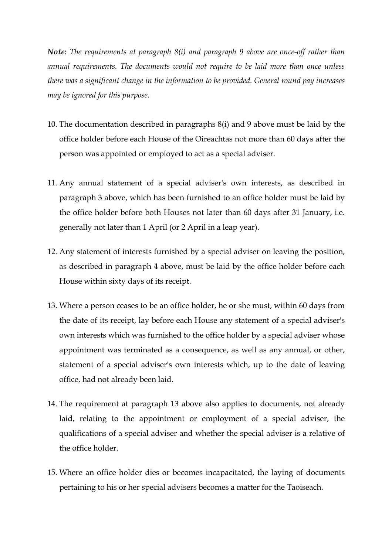*Note: The requirements at paragraph 8(i) and paragraph 9 above are once-off rather than annual requirements. The documents would not require to be laid more than once unless there was a significant change in the information to be provided. General round pay increases may be ignored for this purpose.* 

- 10. The documentation described in paragraphs 8(i) and 9 above must be laid by the office holder before each House of the Oireachtas not more than 60 days after the person was appointed or employed to act as a special adviser.
- 11. Any annual statement of a special adviser's own interests, as described in paragraph 3 above, which has been furnished to an office holder must be laid by the office holder before both Houses not later than 60 days after 31 January, i.e. generally not later than 1 April (or 2 April in a leap year).
- 12. Any statement of interests furnished by a special adviser on leaving the position, as described in paragraph 4 above, must be laid by the office holder before each House within sixty days of its receipt.
- 13. Where a person ceases to be an office holder, he or she must, within 60 days from the date of its receipt, lay before each House any statement of a special adviser's own interests which was furnished to the office holder by a special adviser whose appointment was terminated as a consequence, as well as any annual, or other, statement of a special adviser's own interests which, up to the date of leaving office, had not already been laid.
- 14. The requirement at paragraph 13 above also applies to documents, not already laid, relating to the appointment or employment of a special adviser, the qualifications of a special adviser and whether the special adviser is a relative of the office holder.
- 15. Where an office holder dies or becomes incapacitated, the laying of documents pertaining to his or her special advisers becomes a matter for the Taoiseach.